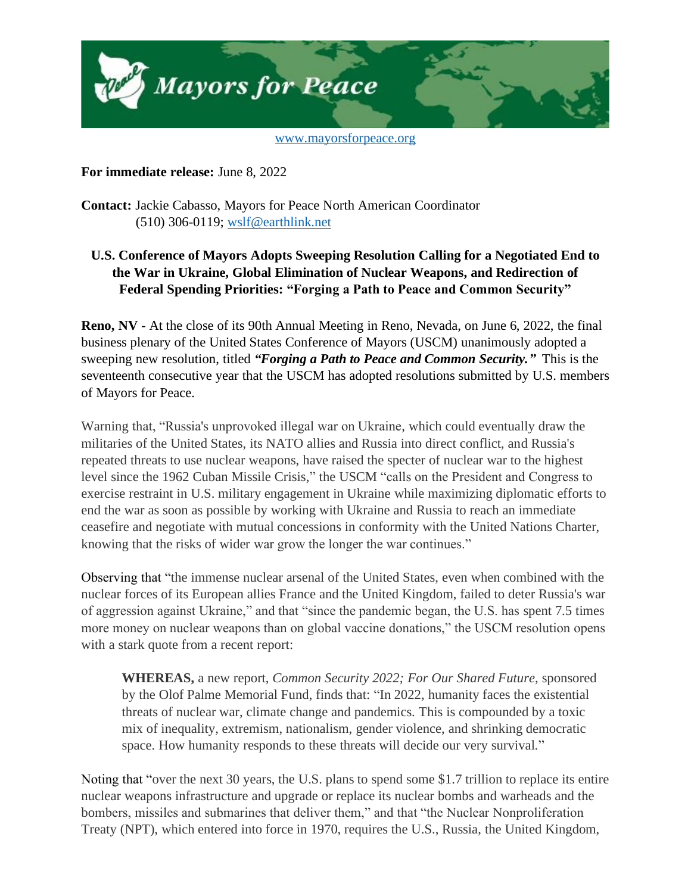

**For immediate release:** June 8, 2022

**Contact:** Jackie Cabasso, Mayors for Peace North American Coordinator (510) 306-0119; [wslf@earthlink.net](mailto:wslf@earthlink.net)

## **U.S. Conference of Mayors Adopts Sweeping Resolution Calling for a Negotiated End to the War in Ukraine, Global Elimination of Nuclear Weapons, and Redirection of Federal Spending Priorities: "Forging a Path to Peace and Common Security"**

**Reno, NV** - At the close of its 90th Annual Meeting in Reno, Nevada, on June 6, 2022, the final business plenary of the United States Conference of Mayors (USCM) unanimously adopted a sweeping new resolution, titled *"Forging a Path to Peace and Common Security."* This is the seventeenth consecutive year that the USCM has adopted resolutions submitted by U.S. members of Mayors for Peace.

Warning that, "Russia's unprovoked illegal war on Ukraine, which could eventually draw the militaries of the United States, its NATO allies and Russia into direct conflict, and Russia's repeated threats to use nuclear weapons, have raised the specter of nuclear war to the highest level since the 1962 Cuban Missile Crisis," the USCM "calls on the President and Congress to exercise restraint in U.S. military engagement in Ukraine while maximizing diplomatic efforts to end the war as soon as possible by working with Ukraine and Russia to reach an immediate ceasefire and negotiate with mutual concessions in conformity with the United Nations Charter, knowing that the risks of wider war grow the longer the war continues."

Observing that "the immense nuclear arsenal of the United States, even when combined with the nuclear forces of its European allies France and the United Kingdom, failed to deter Russia's war of aggression against Ukraine," and that "since the pandemic began, the U.S. has spent 7.5 times more money on nuclear weapons than on global vaccine donations," the USCM resolution opens with a stark quote from a recent report:

**WHEREAS,** a new report, *Common Security 2022; For Our Shared Future*, sponsored by the Olof Palme Memorial Fund, finds that: "In 2022, humanity faces the existential threats of nuclear war, climate change and pandemics. This is compounded by a toxic mix of inequality, extremism, nationalism, gender violence, and shrinking democratic space. How humanity responds to these threats will decide our very survival."

Noting that "over the next 30 years, the U.S. plans to spend some \$1.7 trillion to replace its entire nuclear weapons infrastructure and upgrade or replace its nuclear bombs and warheads and the bombers, missiles and submarines that deliver them," and that "the Nuclear Nonproliferation Treaty (NPT), which entered into force in 1970, requires the U.S., Russia, the United Kingdom,